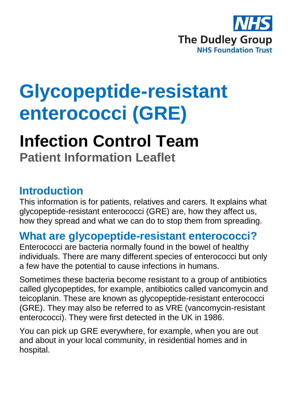

# **Glycopeptide-resistant enterococci (GRE)**

# **Infection Control Team Patient Information Leaflet**

#### **Introduction**

This information is for patients, relatives and carers. It explains what glycopeptide-resistant enterococci (GRE) are, how they affect us, how they spread and what we can do to stop them from spreading.

#### **What are glycopeptide-resistant enterococci?**

Enterococci are bacteria normally found in the bowel of healthy individuals. There are many different species of enterococci but only a few have the potential to cause infections in humans.

Sometimes these bacteria become resistant to a group of antibiotics called glycopeptides, for example, antibiotics called vancomycin and teicoplanin. These are known as glycopeptide-resistant enterococci (GRE). They may also be referred to as VRE (vancomycin-resistant enterococci). They were first detected in the UK in 1986.

You can pick up GRE everywhere, for example, when you are out and about in your local community, in residential homes and in hospital.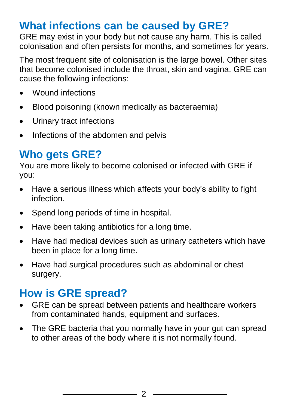## **What infections can be caused by GRE?**

GRE may exist in your body but not cause any harm. This is called colonisation and often persists for months, and sometimes for years.

The most frequent site of colonisation is the large bowel. Other sites that become colonised include the throat, skin and vagina. GRE can cause the following infections:

- Wound infections
- Blood poisoning (known medically as bacteraemia)
- Urinary tract infections
- Infections of the abdomen and pelvis

# **Who gets GRE?**

You are more likely to become colonised or infected with GRE if you:

- Have a serious illness which affects your body's ability to fight infection.
- Spend long periods of time in hospital.
- Have been taking antibiotics for a long time.
- Have had medical devices such as urinary catheters which have been in place for a long time.
- Have had surgical procedures such as abdominal or chest surgery.

## **How is GRE spread?**

- GRE can be spread between patients and healthcare workers from contaminated hands, equipment and surfaces.
- The GRE bacteria that you normally have in your gut can spread to other areas of the body where it is not normally found.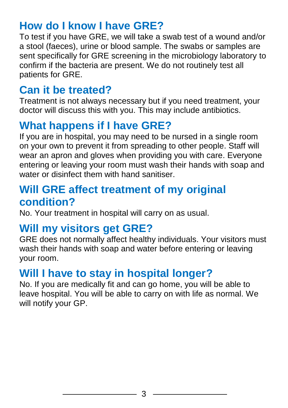#### **How do I know I have GRE?**

To test if you have GRE, we will take a swab test of a wound and/or a stool (faeces), urine or blood sample. The swabs or samples are sent specifically for GRE screening in the microbiology laboratory to confirm if the bacteria are present. We do not routinely test all patients for GRE.

# **Can it be treated?**

Treatment is not always necessary but if you need treatment, your doctor will discuss this with you. This may include antibiotics.

# **What happens if I have GRE?**

If you are in hospital, you may need to be nursed in a single room on your own to prevent it from spreading to other people. Staff will wear an apron and gloves when providing you with care. Everyone entering or leaving your room must wash their hands with soap and water or disinfect them with hand sanitiser.

#### **Will GRE affect treatment of my original condition?**

No. Your treatment in hospital will carry on as usual.

#### **Will my visitors get GRE?**

GRE does not normally affect healthy individuals. Your visitors must wash their hands with soap and water before entering or leaving your room.

## **Will I have to stay in hospital longer?**

No. If you are medically fit and can go home, you will be able to leave hospital. You will be able to carry on with life as normal. We will notify your GP.